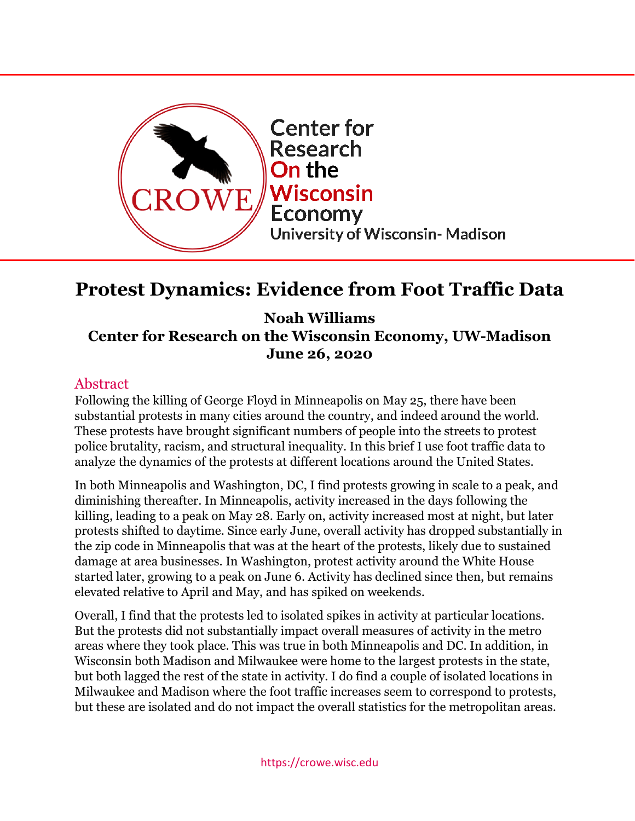

# **Protest Dynamics: Evidence from Foot Traffic Data**

**Noah Williams Center for Research on the Wisconsin Economy, UW-Madison June 26, 2020**

#### Abstract

Following the killing of George Floyd in Minneapolis on May 25, there have been substantial protests in many cities around the country, and indeed around the world. These protests have brought significant numbers of people into the streets to protest police brutality, racism, and structural inequality. In this brief I use foot traffic data to analyze the dynamics of the protests at different locations around the United States.

In both Minneapolis and Washington, DC, I find protests growing in scale to a peak, and diminishing thereafter. In Minneapolis, activity increased in the days following the killing, leading to a peak on May 28. Early on, activity increased most at night, but later protests shifted to daytime. Since early June, overall activity has dropped substantially in the zip code in Minneapolis that was at the heart of the protests, likely due to sustained damage at area businesses. In Washington, protest activity around the White House started later, growing to a peak on June 6. Activity has declined since then, but remains elevated relative to April and May, and has spiked on weekends.

Overall, I find that the protests led to isolated spikes in activity at particular locations. But the protests did not substantially impact overall measures of activity in the metro areas where they took place. This was true in both Minneapolis and DC. In addition, in Wisconsin both Madison and Milwaukee were home to the largest protests in the state, but both lagged the rest of the state in activity. I do find a couple of isolated locations in Milwaukee and Madison where the foot traffic increases seem to correspond to protests, but these are isolated and do not impact the overall statistics for the metropolitan areas.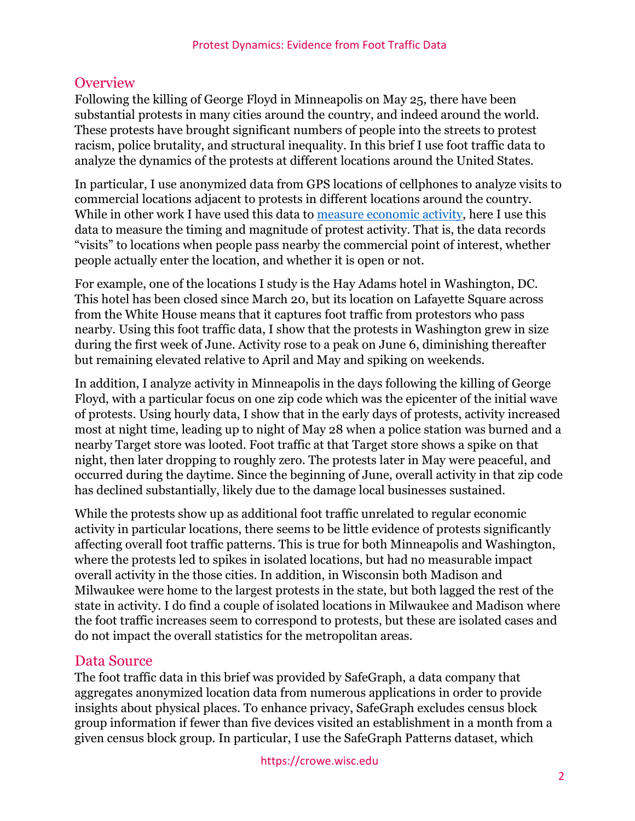### **Overview**

Following the killing of George Floyd in Minneapolis on May 25, there have been substantial protests in many cities around the country, and indeed around the world. These protests have brought significant numbers of people into the streets to protest racism, police brutality, and structural inequality. In this brief I use foot traffic data to analyze the dynamics of the protests at different locations around the United States.

In particular, I use anonymized data from GPS locations of cellphones to analyze visits to commercial locations adjacent to protests in different locations around the country. While in other work I have used this data to [measure economic activity,](https://crowe.wisc.edu/wp-content/uploads/sites/313/2020/06/wi-econ1.pdf) here I use this data to measure the timing and magnitude of protest activity. That is, the data records "visits" to locations when people pass nearby the commercial point of interest, whether people actually enter the location, and whether it is open or not.

For example, one of the locations I study is the Hay Adams hotel in Washington, DC. This hotel has been closed since March 20, but its location on Lafayette Square across from the White House means that it captures foot traffic from protestors who pass nearby. Using this foot traffic data, I show that the protests in Washington grew in size during the first week of June. Activity rose to a peak on June 6, diminishing thereafter but remaining elevated relative to April and May and spiking on weekends.

In addition, I analyze activity in Minneapolis in the days following the killing of George Floyd, with a particular focus on one zip code which was the epicenter of the initial wave of protests. Using hourly data, I show that in the early days of protests, activity increased most at night time, leading up to night of May 28 when a police station was burned and a nearby Target store was looted. Foot traffic at that Target store shows a spike on that night, then later dropping to roughly zero. The protests later in May were peaceful, and occurred during the daytime. Since the beginning of June, overall activity in that zip code has declined substantially, likely due to the damage local businesses sustained.

While the protests show up as additional foot traffic unrelated to regular economic activity in particular locations, there seems to be little evidence of protests significantly affecting overall foot traffic patterns. This is true for both Minneapolis and Washington, where the protests led to spikes in isolated locations, but had no measurable impact overall activity in the those cities. In addition, in Wisconsin both Madison and Milwaukee were home to the largest protests in the state, but both lagged the rest of the state in activity. I do find a couple of isolated locations in Milwaukee and Madison where the foot traffic increases seem to correspond to protests, but these are isolated cases and do not impact the overall statistics for the metropolitan areas.

## Data Source

The foot traffic data in this brief was provided by SafeGraph, a data company that aggregates anonymized location data from numerous applications in order to provide insights about physical places. To enhance privacy, SafeGraph excludes census block group information if fewer than five devices visited an establishment in a month from a given census block group. In particular, I use the SafeGraph Patterns dataset, which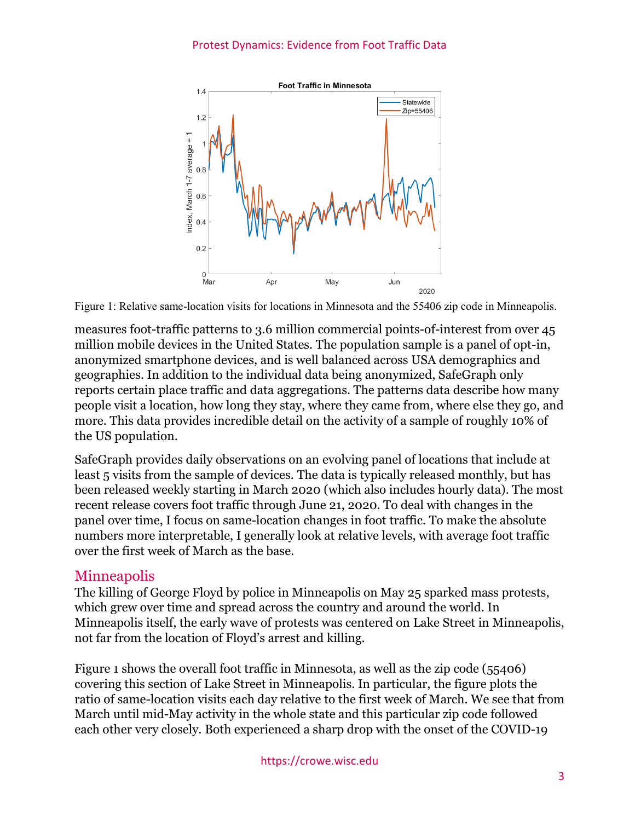

Figure 1: Relative same-location visits for locations in Minnesota and the 55406 zip code in Minneapolis.

measures foot-traffic patterns to 3.6 million commercial points-of-interest from over 45 million mobile devices in the United States. The population sample is a panel of opt-in, anonymized smartphone devices, and is well balanced across USA demographics and geographies. In addition to the individual data being anonymized, SafeGraph only reports certain place traffic and data aggregations. The patterns data describe how many people visit a location, how long they stay, where they came from, where else they go, and more. This data provides incredible detail on the activity of a sample of roughly 10% of the US population.

SafeGraph provides daily observations on an evolving panel of locations that include at least 5 visits from the sample of devices. The data is typically released monthly, but has been released weekly starting in March 2020 (which also includes hourly data). The most recent release covers foot traffic through June 21, 2020. To deal with changes in the panel over time, I focus on same-location changes in foot traffic. To make the absolute numbers more interpretable, I generally look at relative levels, with average foot traffic over the first week of March as the base.

#### Minneapolis

The killing of George Floyd by police in Minneapolis on May 25 sparked mass protests, which grew over time and spread across the country and around the world. In Minneapolis itself, the early wave of protests was centered on Lake Street in Minneapolis, not far from the location of Floyd's arrest and killing.

Figure 1 shows the overall foot traffic in Minnesota, as well as the zip code (55406) covering this section of Lake Street in Minneapolis. In particular, the figure plots the ratio of same-location visits each day relative to the first week of March. We see that from March until mid-May activity in the whole state and this particular zip code followed each other very closely. Both experienced a sharp drop with the onset of the COVID-19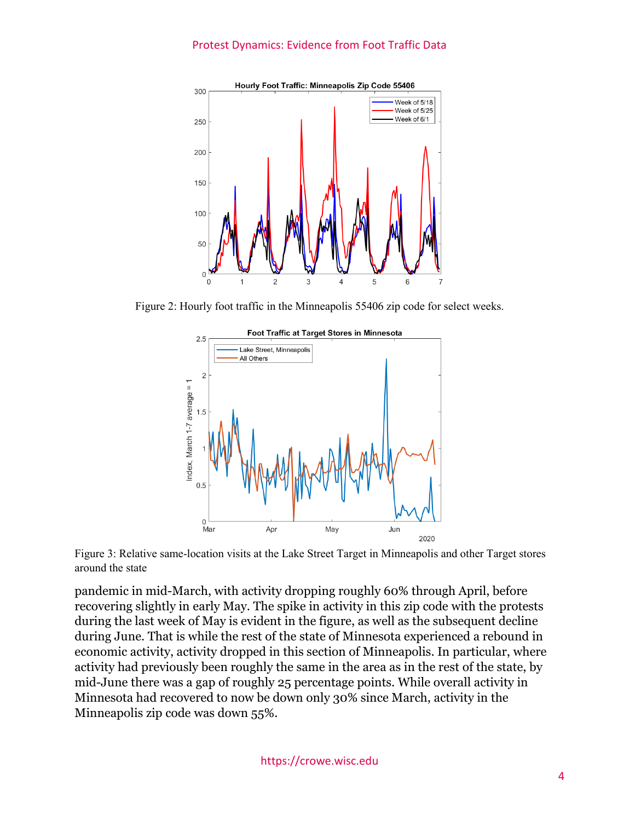#### Protest Dynamics: Evidence from Foot Traffic Data



Figure 2: Hourly foot traffic in the Minneapolis 55406 zip code for select weeks.



Figure 3: Relative same-location visits at the Lake Street Target in Minneapolis and other Target stores around the state

pandemic in mid-March, with activity dropping roughly 60% through April, before recovering slightly in early May. The spike in activity in this zip code with the protests during the last week of May is evident in the figure, as well as the subsequent decline during June. That is while the rest of the state of Minnesota experienced a rebound in economic activity, activity dropped in this section of Minneapolis. In particular, where activity had previously been roughly the same in the area as in the rest of the state, by mid-June there was a gap of roughly 25 percentage points. While overall activity in Minnesota had recovered to now be down only 30% since March, activity in the Minneapolis zip code was down 55%.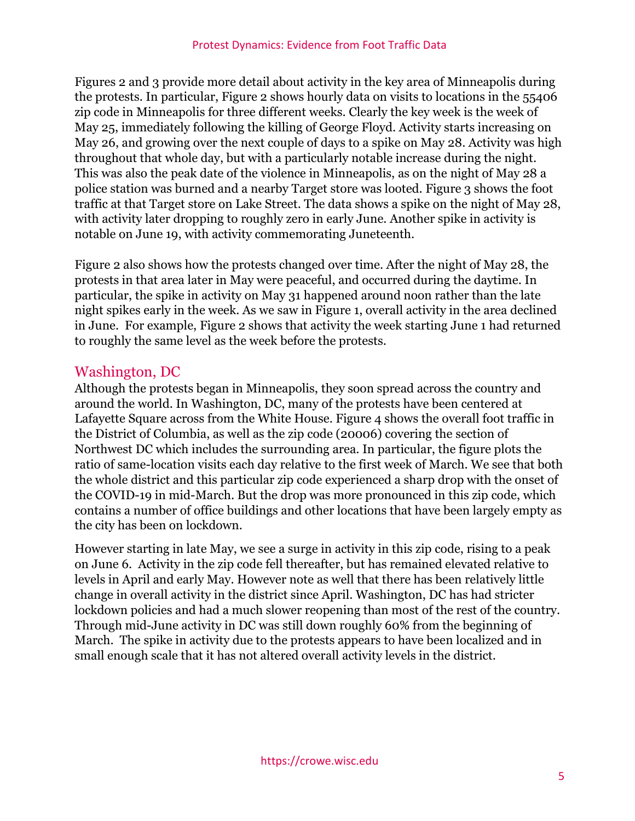Figures 2 and 3 provide more detail about activity in the key area of Minneapolis during the protests. In particular, Figure 2 shows hourly data on visits to locations in the 55406 zip code in Minneapolis for three different weeks. Clearly the key week is the week of May 25, immediately following the killing of George Floyd. Activity starts increasing on May 26, and growing over the next couple of days to a spike on May 28. Activity was high throughout that whole day, but with a particularly notable increase during the night. This was also the peak date of the violence in Minneapolis, as on the night of May 28 a police station was burned and a nearby Target store was looted. Figure 3 shows the foot traffic at that Target store on Lake Street. The data shows a spike on the night of May 28, with activity later dropping to roughly zero in early June. Another spike in activity is notable on June 19, with activity commemorating Juneteenth.

Figure 2 also shows how the protests changed over time. After the night of May 28, the protests in that area later in May were peaceful, and occurred during the daytime. In particular, the spike in activity on May 31 happened around noon rather than the late night spikes early in the week. As we saw in Figure 1, overall activity in the area declined in June. For example, Figure 2 shows that activity the week starting June 1 had returned to roughly the same level as the week before the protests.

#### Washington, DC

Although the protests began in Minneapolis, they soon spread across the country and around the world. In Washington, DC, many of the protests have been centered at Lafayette Square across from the White House. Figure 4 shows the overall foot traffic in the District of Columbia, as well as the zip code (20006) covering the section of Northwest DC which includes the surrounding area. In particular, the figure plots the ratio of same-location visits each day relative to the first week of March. We see that both the whole district and this particular zip code experienced a sharp drop with the onset of the COVID-19 in mid-March. But the drop was more pronounced in this zip code, which contains a number of office buildings and other locations that have been largely empty as the city has been on lockdown.

However starting in late May, we see a surge in activity in this zip code, rising to a peak on June 6. Activity in the zip code fell thereafter, but has remained elevated relative to levels in April and early May. However note as well that there has been relatively little change in overall activity in the district since April. Washington, DC has had stricter lockdown policies and had a much slower reopening than most of the rest of the country. Through mid-June activity in DC was still down roughly 60% from the beginning of March. The spike in activity due to the protests appears to have been localized and in small enough scale that it has not altered overall activity levels in the district.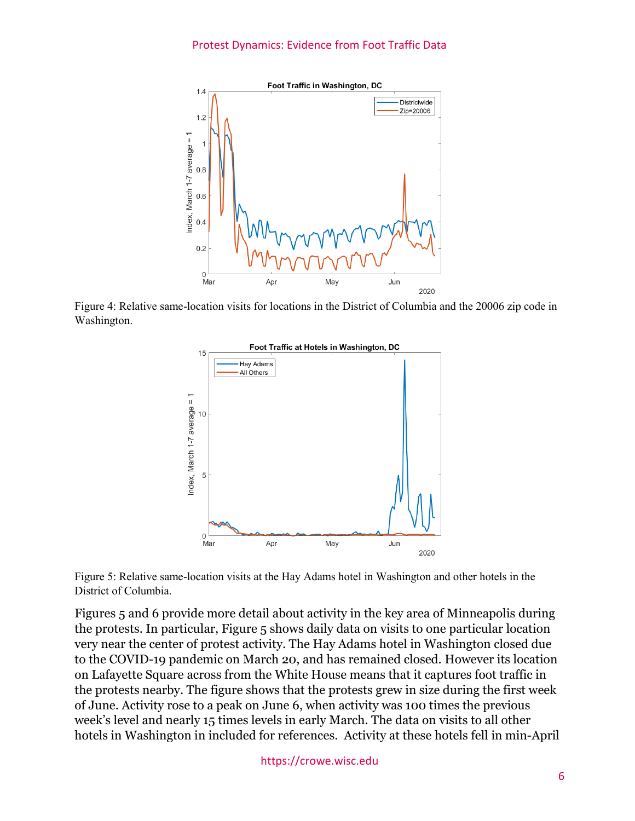

Figure 4: Relative same-location visits for locations in the District of Columbia and the 20006 zip code in Washington.



Figure 5: Relative same-location visits at the Hay Adams hotel in Washington and other hotels in the District of Columbia.

Figures 5 and 6 provide more detail about activity in the key area of Minneapolis during the protests. In particular, Figure 5 shows daily data on visits to one particular location very near the center of protest activity. The Hay Adams hotel in Washington closed due to the COVID-19 pandemic on March 20, and has remained closed. However its location on Lafayette Square across from the White House means that it captures foot traffic in the protests nearby. The figure shows that the protests grew in size during the first week of June. Activity rose to a peak on June 6, when activity was 100 times the previous week's level and nearly 15 times levels in early March. The data on visits to all other hotels in Washington in included for references. Activity at these hotels fell in min-April

https://crowe.wisc.edu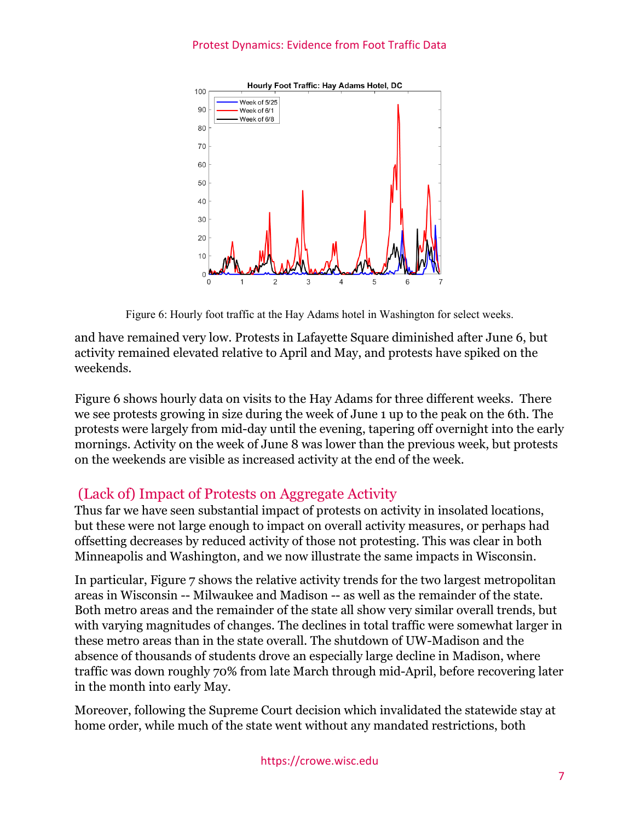#### Protest Dynamics: Evidence from Foot Traffic Data



Figure 6: Hourly foot traffic at the Hay Adams hotel in Washington for select weeks.

and have remained very low. Protests in Lafayette Square diminished after June 6, but activity remained elevated relative to April and May, and protests have spiked on the weekends.

Figure 6 shows hourly data on visits to the Hay Adams for three different weeks. There we see protests growing in size during the week of June 1 up to the peak on the 6th. The protests were largely from mid-day until the evening, tapering off overnight into the early mornings. Activity on the week of June 8 was lower than the previous week, but protests on the weekends are visible as increased activity at the end of the week.

#### (Lack of) Impact of Protests on Aggregate Activity

Thus far we have seen substantial impact of protests on activity in insolated locations, but these were not large enough to impact on overall activity measures, or perhaps had offsetting decreases by reduced activity of those not protesting. This was clear in both Minneapolis and Washington, and we now illustrate the same impacts in Wisconsin.

In particular, Figure 7 shows the relative activity trends for the two largest metropolitan areas in Wisconsin -- Milwaukee and Madison -- as well as the remainder of the state. Both metro areas and the remainder of the state all show very similar overall trends, but with varying magnitudes of changes. The declines in total traffic were somewhat larger in these metro areas than in the state overall. The shutdown of UW-Madison and the absence of thousands of students drove an especially large decline in Madison, where traffic was down roughly 70% from late March through mid-April, before recovering later in the month into early May.

Moreover, following the Supreme Court decision which invalidated the statewide stay at home order, while much of the state went without any mandated restrictions, both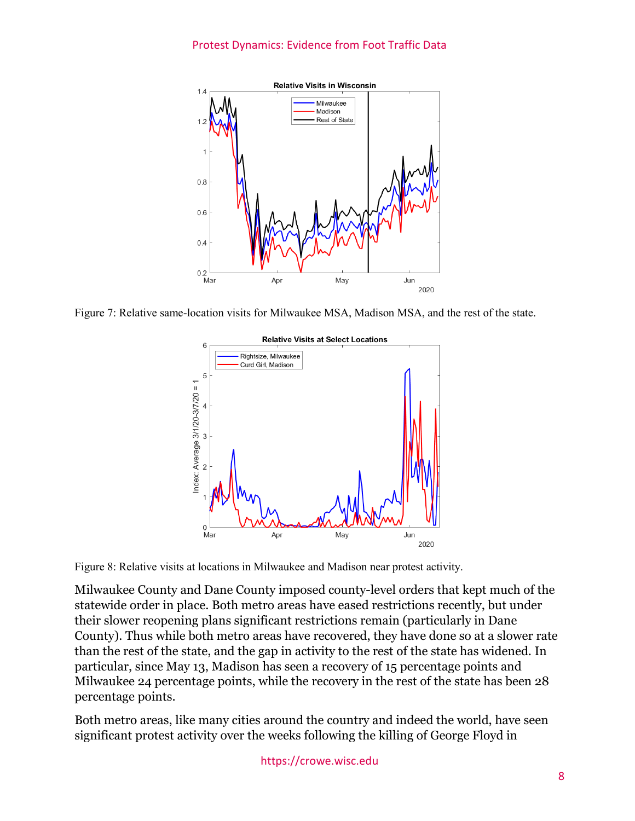

Figure 7: Relative same-location visits for Milwaukee MSA, Madison MSA, and the rest of the state.



Figure 8: Relative visits at locations in Milwaukee and Madison near protest activity.

Milwaukee County and Dane County imposed county-level orders that kept much of the statewide order in place. Both metro areas have eased restrictions recently, but under their slower reopening plans significant restrictions remain (particularly in Dane County). Thus while both metro areas have recovered, they have done so at a slower rate than the rest of the state, and the gap in activity to the rest of the state has widened. In particular, since May 13, Madison has seen a recovery of 15 percentage points and Milwaukee 24 percentage points, while the recovery in the rest of the state has been 28 percentage points.

Both metro areas, like many cities around the country and indeed the world, have seen significant protest activity over the weeks following the killing of George Floyd in